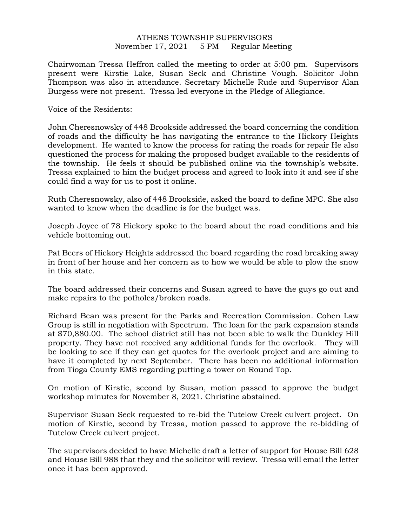## ATHENS TOWNSHIP SUPERVISORS November 17, 2021 5 PM Regular Meeting

Chairwoman Tressa Heffron called the meeting to order at 5:00 pm. Supervisors present were Kirstie Lake, Susan Seck and Christine Vough. Solicitor John Thompson was also in attendance. Secretary Michelle Rude and Supervisor Alan Burgess were not present. Tressa led everyone in the Pledge of Allegiance.

Voice of the Residents:

John Cheresnowsky of 448 Brookside addressed the board concerning the condition of roads and the difficulty he has navigating the entrance to the Hickory Heights development. He wanted to know the process for rating the roads for repair He also questioned the process for making the proposed budget available to the residents of the township. He feels it should be published online via the township's website. Tressa explained to him the budget process and agreed to look into it and see if she could find a way for us to post it online.

Ruth Cheresnowsky, also of 448 Brookside, asked the board to define MPC. She also wanted to know when the deadline is for the budget was.

Joseph Joyce of 78 Hickory spoke to the board about the road conditions and his vehicle bottoming out.

Pat Beers of Hickory Heights addressed the board regarding the road breaking away in front of her house and her concern as to how we would be able to plow the snow in this state.

The board addressed their concerns and Susan agreed to have the guys go out and make repairs to the potholes/broken roads.

Richard Bean was present for the Parks and Recreation Commission. Cohen Law Group is still in negotiation with Spectrum. The loan for the park expansion stands at \$70,880.00. The school district still has not been able to walk the Dunkley Hill property. They have not received any additional funds for the overlook. They will be looking to see if they can get quotes for the overlook project and are aiming to have it completed by next September. There has been no additional information from Tioga County EMS regarding putting a tower on Round Top.

On motion of Kirstie, second by Susan, motion passed to approve the budget workshop minutes for November 8, 2021. Christine abstained.

Supervisor Susan Seck requested to re-bid the Tutelow Creek culvert project. On motion of Kirstie, second by Tressa, motion passed to approve the re-bidding of Tutelow Creek culvert project.

The supervisors decided to have Michelle draft a letter of support for House Bill 628 and House Bill 988 that they and the solicitor will review. Tressa will email the letter once it has been approved.